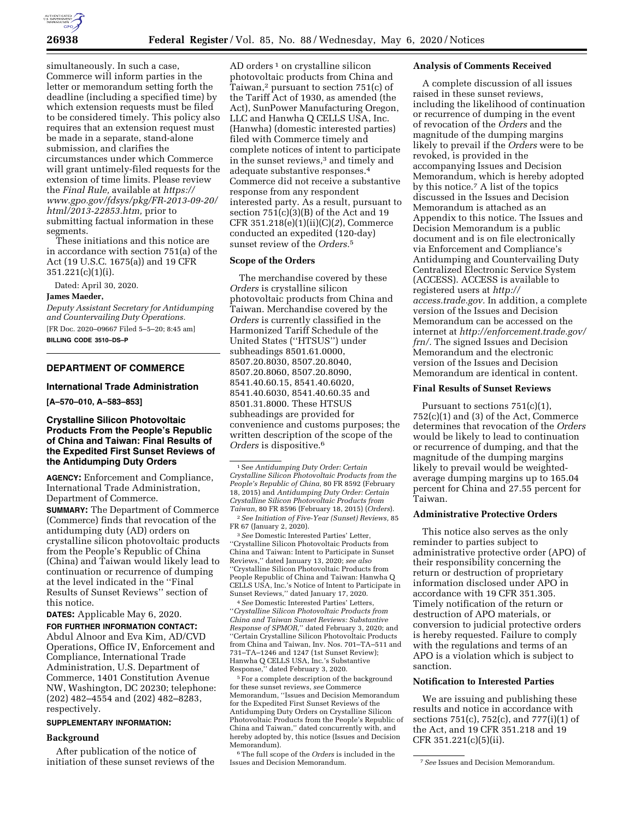

simultaneously. In such a case, Commerce will inform parties in the letter or memorandum setting forth the deadline (including a specified time) by which extension requests must be filed to be considered timely. This policy also requires that an extension request must be made in a separate, stand-alone submission, and clarifies the circumstances under which Commerce will grant untimely-filed requests for the extension of time limits. Please review the *Final Rule,* available at *[https://](https://www.gpo.gov/fdsys/pkg/FR-2013-09-20/html/2013-22853.htm) [www.gpo.gov/fdsys/pkg/FR-2013-09-20/](https://www.gpo.gov/fdsys/pkg/FR-2013-09-20/html/2013-22853.htm) [html/2013-22853.htm,](https://www.gpo.gov/fdsys/pkg/FR-2013-09-20/html/2013-22853.htm)* prior to submitting factual information in these segments.

These initiations and this notice are in accordance with section 751(a) of the Act (19 U.S.C. 1675(a)) and 19 CFR 351.221(c)(1)(i).

Dated: April 30, 2020.

#### **James Maeder,**

*Deputy Assistant Secretary for Antidumping and Countervailing Duty Operations.*  [FR Doc. 2020–09667 Filed 5–5–20; 8:45 am] **BILLING CODE 3510–DS–P** 

# **DEPARTMENT OF COMMERCE**

#### **International Trade Administration**

**[A–570–010, A–583–853]** 

# **Crystalline Silicon Photovoltaic Products From the People's Republic of China and Taiwan: Final Results of the Expedited First Sunset Reviews of the Antidumping Duty Orders**

**AGENCY:** Enforcement and Compliance, International Trade Administration, Department of Commerce.

**SUMMARY:** The Department of Commerce (Commerce) finds that revocation of the antidumping duty (AD) orders on crystalline silicon photovoltaic products from the People's Republic of China (China) and Taiwan would likely lead to continuation or recurrence of dumping at the level indicated in the ''Final Results of Sunset Reviews'' section of this notice.

**DATES:** Applicable May 6, 2020. **FOR FURTHER INFORMATION CONTACT:** 

Abdul Alnoor and Eva Kim, AD/CVD Operations, Office IV, Enforcement and Compliance, International Trade Administration, U.S. Department of Commerce, 1401 Constitution Avenue NW, Washington, DC 20230; telephone: (202) 482–4554 and (202) 482–8283, respectively.

### **SUPPLEMENTARY INFORMATION:**

#### **Background**

After publication of the notice of initiation of these sunset reviews of the

AD orders<sup>1</sup> on crystalline silicon photovoltaic products from China and Taiwan,2 pursuant to section 751(c) of the Tariff Act of 1930, as amended (the Act), SunPower Manufacturing Oregon, LLC and Hanwha Q CELLS USA, Inc. (Hanwha) (domestic interested parties) filed with Commerce timely and complete notices of intent to participate in the sunset reviews,3 and timely and adequate substantive responses.4 Commerce did not receive a substantive response from any respondent interested party. As a result, pursuant to section  $751(c)(3)(B)$  of the Act and 19 CFR 351.218(e)(1)(ii)(C)(*2*), Commerce conducted an expedited (120-day) sunset review of the *Orders.*5

# **Scope of the Orders**

The merchandise covered by these *Orders* is crystalline silicon photovoltaic products from China and Taiwan. Merchandise covered by the *Orders* is currently classified in the Harmonized Tariff Schedule of the United States (''HTSUS'') under subheadings 8501.61.0000, 8507.20.8030, 8507.20.8040, 8507.20.8060, 8507.20.8090, 8541.40.60.15, 8541.40.6020, 8541.40.6030, 8541.40.60.35 and 8501.31.8000. These HTSUS subheadings are provided for convenience and customs purposes; the written description of the scope of the *Orders* is dispositive.6

1S*ee Antidumping Duty Order: Certain Crystalline Silicon Photovoltaic Products from the People's Republic of China,* 80 FR 8592 (February 18, 2015) and *Antidumping Duty Order: Certain Crystalline Silicon Photovoltaic Products from Taiwan,* 80 FR 8596 (February 18, 2015) (*Orders*). 2*See Initiation of Five-Year (Sunset) Reviews,* 85

FR 67 (January 2, 2020). 3*See* Domestic Interested Parties' Letter,

''Crystalline Silicon Photovoltaic Products from China and Taiwan: Intent to Participate in Sunset Reviews,'' dated January 13, 2020; *see also*  ''Crystalline Silicon Photovoltaic Products from People Republic of China and Taiwan: Hanwha Q CELLS USA, Inc.'s Notice of Intent to Participate in Sunset Reviews,'' dated January 17, 2020.

4*See* Domestic Interested Parties' Letters, ''*Crystalline Silicon Photovoltaic Products from China and Taiwan Sunset Reviews: Substantive Response of SPMOR,*'' dated February 3, 2020; and ''Certain Crystalline Silicon Photovoltaic Products from China and Taiwan, Inv. Nos. 701–TA–511 and 731–TA–1246 and 1247 (1st Sunset Review); Hanwha Q CELLS USA, Inc.'s Substantive Response,'' dated February 3, 2020.

<sup>5</sup> For a complete description of the background for these sunset reviews, *see* Commerce Memorandum, ''Issues and Decision Memorandum for the Expedited First Sunset Reviews of the Antidumping Duty Orders on Crystalline Silicon Photovoltaic Products from the People's Republic of China and Taiwan,'' dated concurrently with, and hereby adopted by, this notice (Issues and Decision Memorandum).

6The full scope of the *Orders* is included in the

#### **Analysis of Comments Received**

A complete discussion of all issues raised in these sunset reviews, including the likelihood of continuation or recurrence of dumping in the event of revocation of the *Orders* and the magnitude of the dumping margins likely to prevail if the *Orders* were to be revoked, is provided in the accompanying Issues and Decision Memorandum, which is hereby adopted by this notice.7 A list of the topics discussed in the Issues and Decision Memorandum is attached as an Appendix to this notice. The Issues and Decision Memorandum is a public document and is on file electronically via Enforcement and Compliance's Antidumping and Countervailing Duty Centralized Electronic Service System (ACCESS). ACCESS is available to registered users at *[http://](http://access.trade.gov) [access.trade.gov.](http://access.trade.gov)* In addition, a complete version of the Issues and Decision Memorandum can be accessed on the internet at *[http://enforcement.trade.gov/](http://enforcement.trade.gov/frn/) [frn/.](http://enforcement.trade.gov/frn/)* The signed Issues and Decision Memorandum and the electronic version of the Issues and Decision Memorandum are identical in content.

## **Final Results of Sunset Reviews**

Pursuant to sections 751(c)(1), 752(c)(1) and (3) of the Act, Commerce determines that revocation of the *Orders*  would be likely to lead to continuation or recurrence of dumping, and that the magnitude of the dumping margins likely to prevail would be weightedaverage dumping margins up to 165.04 percent for China and 27.55 percent for Taiwan.

# **Administrative Protective Orders**

This notice also serves as the only reminder to parties subject to administrative protective order (APO) of their responsibility concerning the return or destruction of proprietary information disclosed under APO in accordance with 19 CFR 351.305. Timely notification of the return or destruction of APO materials, or conversion to judicial protective orders is hereby requested. Failure to comply with the regulations and terms of an APO is a violation which is subject to sanction.

### **Notification to Interested Parties**

We are issuing and publishing these results and notice in accordance with sections 751(c), 752(c), and 777(i)(1) of the Act, and 19 CFR 351.218 and 19 CFR 351.221(c)(5)(ii).

Issues and Decision Memorandum. 7*See* Issues and Decision Memorandum.